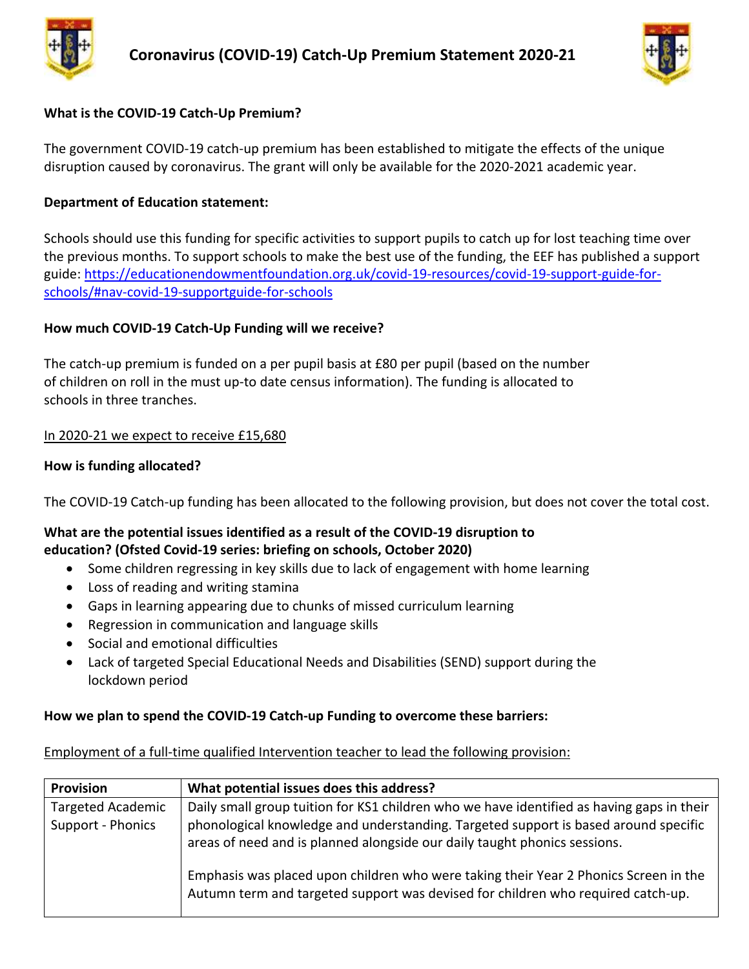



## **What is the COVID-19 Catch-Up Premium?**

The government COVID-19 catch-up premium has been established to mitigate the effects of the unique disruption caused by coronavirus. The grant will only be available for the 2020-2021 academic year.

## **Department of Education statement:**

Schools should use this funding for specific activities to support pupils to catch up for lost teaching time over the previous months. To support schools to make the best use of the funding, the EEF has published a support guide: [https://educationendowmentfoundation.org.uk/covid-19-resources/covid-19-support-guide-for](https://educationendowmentfoundation.org.uk/covid-19-resources/covid-19-support-guide-for-schools/#nav-covid-19-supportguide-for-schools)[schools/#nav-covid-19-supportguide-for-schools](https://educationendowmentfoundation.org.uk/covid-19-resources/covid-19-support-guide-for-schools/#nav-covid-19-supportguide-for-schools)

## **How much COVID-19 Catch-Up Funding will we receive?**

The catch-up premium is funded on a per pupil basis at £80 per pupil (based on the number of children on roll in the must up-to date census information). The funding is allocated to schools in three tranches.

### In 2020-21 we expect to receive £15,680

### **How is funding allocated?**

The COVID-19 Catch-up funding has been allocated to the following provision, but does not cover the total cost.

## **What are the potential issues identified as a result of the COVID-19 disruption to education? (Ofsted Covid-19 series: briefing on schools, October 2020)**

- Some children regressing in key skills due to lack of engagement with home learning
- Loss of reading and writing stamina
- Gaps in learning appearing due to chunks of missed curriculum learning
- Regression in communication and language skills
- Social and emotional difficulties
- Lack of targeted Special Educational Needs and Disabilities (SEND) support during the lockdown period

## **How we plan to spend the COVID-19 Catch-up Funding to overcome these barriers:**

#### Employment of a full-time qualified Intervention teacher to lead the following provision:

| <b>Provision</b>                              | What potential issues does this address?                                                                                                                                                                                                                      |
|-----------------------------------------------|---------------------------------------------------------------------------------------------------------------------------------------------------------------------------------------------------------------------------------------------------------------|
| <b>Targeted Academic</b><br>Support - Phonics | Daily small group tuition for KS1 children who we have identified as having gaps in their<br>phonological knowledge and understanding. Targeted support is based around specific<br>areas of need and is planned alongside our daily taught phonics sessions. |
|                                               | Emphasis was placed upon children who were taking their Year 2 Phonics Screen in the<br>Autumn term and targeted support was devised for children who required catch-up.                                                                                      |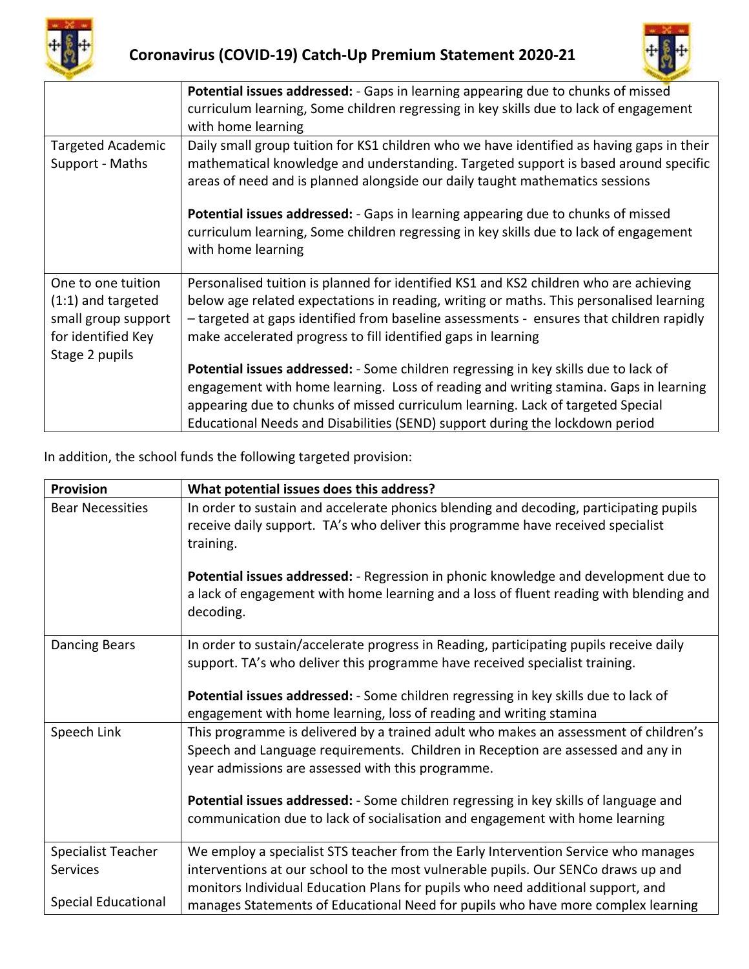



|                                                                                                           | Potential issues addressed: - Gaps in learning appearing due to chunks of missed<br>curriculum learning, Some children regressing in key skills due to lack of engagement<br>with home learning                                                                                                                                                |
|-----------------------------------------------------------------------------------------------------------|------------------------------------------------------------------------------------------------------------------------------------------------------------------------------------------------------------------------------------------------------------------------------------------------------------------------------------------------|
| <b>Targeted Academic</b><br>Support - Maths                                                               | Daily small group tuition for KS1 children who we have identified as having gaps in their<br>mathematical knowledge and understanding. Targeted support is based around specific<br>areas of need and is planned alongside our daily taught mathematics sessions                                                                               |
|                                                                                                           | <b>Potential issues addressed:</b> - Gaps in learning appearing due to chunks of missed<br>curriculum learning, Some children regressing in key skills due to lack of engagement<br>with home learning                                                                                                                                         |
| One to one tuition<br>$(1:1)$ and targeted<br>small group support<br>for identified Key<br>Stage 2 pupils | Personalised tuition is planned for identified KS1 and KS2 children who are achieving<br>below age related expectations in reading, writing or maths. This personalised learning<br>- targeted at gaps identified from baseline assessments - ensures that children rapidly<br>make accelerated progress to fill identified gaps in learning   |
|                                                                                                           | Potential issues addressed: - Some children regressing in key skills due to lack of<br>engagement with home learning. Loss of reading and writing stamina. Gaps in learning<br>appearing due to chunks of missed curriculum learning. Lack of targeted Special<br>Educational Needs and Disabilities (SEND) support during the lockdown period |

In addition, the school funds the following targeted provision:

| <b>Provision</b>           | What potential issues does this address?                                                                                                                                                                                     |
|----------------------------|------------------------------------------------------------------------------------------------------------------------------------------------------------------------------------------------------------------------------|
| <b>Bear Necessities</b>    | In order to sustain and accelerate phonics blending and decoding, participating pupils<br>receive daily support. TA's who deliver this programme have received specialist<br>training.                                       |
|                            | Potential issues addressed: - Regression in phonic knowledge and development due to<br>a lack of engagement with home learning and a loss of fluent reading with blending and<br>decoding.                                   |
| <b>Dancing Bears</b>       | In order to sustain/accelerate progress in Reading, participating pupils receive daily<br>support. TA's who deliver this programme have received specialist training.                                                        |
|                            | Potential issues addressed: - Some children regressing in key skills due to lack of<br>engagement with home learning, loss of reading and writing stamina                                                                    |
| Speech Link                | This programme is delivered by a trained adult who makes an assessment of children's<br>Speech and Language requirements. Children in Reception are assessed and any in<br>year admissions are assessed with this programme. |
|                            | Potential issues addressed: - Some children regressing in key skills of language and<br>communication due to lack of socialisation and engagement with home learning                                                         |
| <b>Specialist Teacher</b>  | We employ a specialist STS teacher from the Early Intervention Service who manages                                                                                                                                           |
| Services                   | interventions at our school to the most vulnerable pupils. Our SENCo draws up and                                                                                                                                            |
| <b>Special Educational</b> | monitors Individual Education Plans for pupils who need additional support, and<br>manages Statements of Educational Need for pupils who have more complex learning                                                          |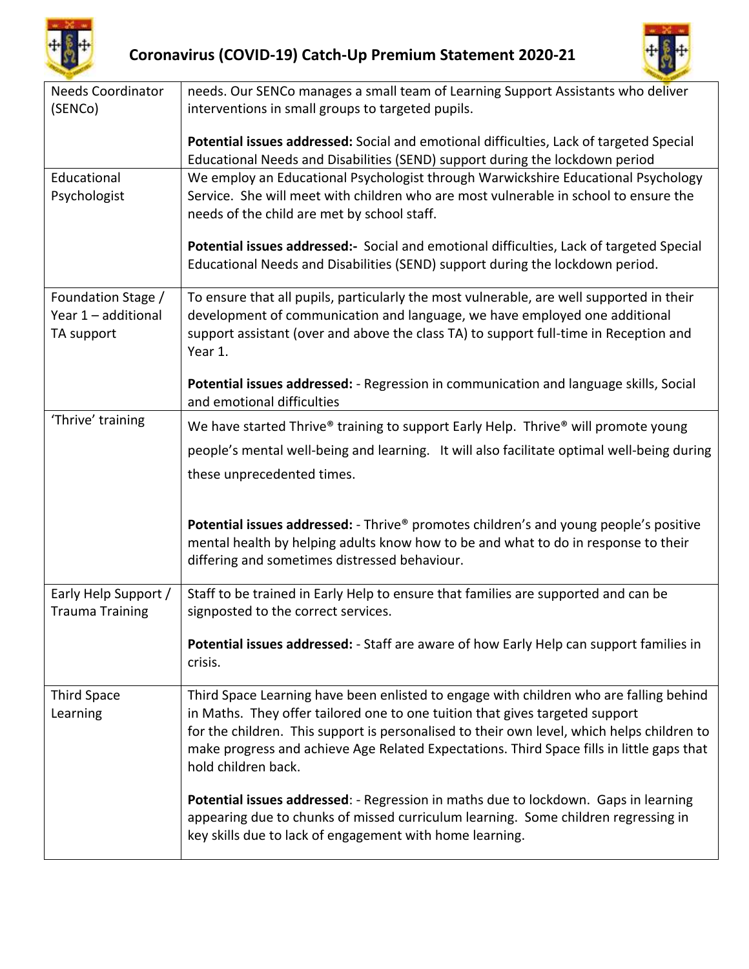



| <b>Needs Coordinator</b>                                | needs. Our SENCo manages a small team of Learning Support Assistants who deliver                                                                                                                                                                                                                                                                                                         |
|---------------------------------------------------------|------------------------------------------------------------------------------------------------------------------------------------------------------------------------------------------------------------------------------------------------------------------------------------------------------------------------------------------------------------------------------------------|
| (SENCo)                                                 | interventions in small groups to targeted pupils.                                                                                                                                                                                                                                                                                                                                        |
|                                                         | Potential issues addressed: Social and emotional difficulties, Lack of targeted Special<br>Educational Needs and Disabilities (SEND) support during the lockdown period                                                                                                                                                                                                                  |
| Educational<br>Psychologist                             | We employ an Educational Psychologist through Warwickshire Educational Psychology<br>Service. She will meet with children who are most vulnerable in school to ensure the<br>needs of the child are met by school staff.                                                                                                                                                                 |
|                                                         | Potential issues addressed:- Social and emotional difficulties, Lack of targeted Special<br>Educational Needs and Disabilities (SEND) support during the lockdown period.                                                                                                                                                                                                                |
| Foundation Stage /<br>Year 1 - additional<br>TA support | To ensure that all pupils, particularly the most vulnerable, are well supported in their<br>development of communication and language, we have employed one additional<br>support assistant (over and above the class TA) to support full-time in Reception and<br>Year 1.                                                                                                               |
|                                                         | Potential issues addressed: - Regression in communication and language skills, Social<br>and emotional difficulties                                                                                                                                                                                                                                                                      |
| 'Thrive' training                                       | We have started Thrive® training to support Early Help. Thrive® will promote young                                                                                                                                                                                                                                                                                                       |
|                                                         | people's mental well-being and learning. It will also facilitate optimal well-being during                                                                                                                                                                                                                                                                                               |
|                                                         | these unprecedented times.                                                                                                                                                                                                                                                                                                                                                               |
|                                                         |                                                                                                                                                                                                                                                                                                                                                                                          |
|                                                         | Potential issues addressed: - Thrive® promotes children's and young people's positive<br>mental health by helping adults know how to be and what to do in response to their<br>differing and sometimes distressed behaviour.                                                                                                                                                             |
| Early Help Support /<br><b>Trauma Training</b>          | Staff to be trained in Early Help to ensure that families are supported and can be<br>signposted to the correct services.                                                                                                                                                                                                                                                                |
|                                                         | Potential issues addressed: - Staff are aware of how Early Help can support families in<br>crisis.                                                                                                                                                                                                                                                                                       |
| <b>Third Space</b><br>Learning                          | Third Space Learning have been enlisted to engage with children who are falling behind<br>in Maths. They offer tailored one to one tuition that gives targeted support<br>for the children. This support is personalised to their own level, which helps children to<br>make progress and achieve Age Related Expectations. Third Space fills in little gaps that<br>hold children back. |
|                                                         | Potential issues addressed: - Regression in maths due to lockdown. Gaps in learning<br>appearing due to chunks of missed curriculum learning. Some children regressing in<br>key skills due to lack of engagement with home learning.                                                                                                                                                    |